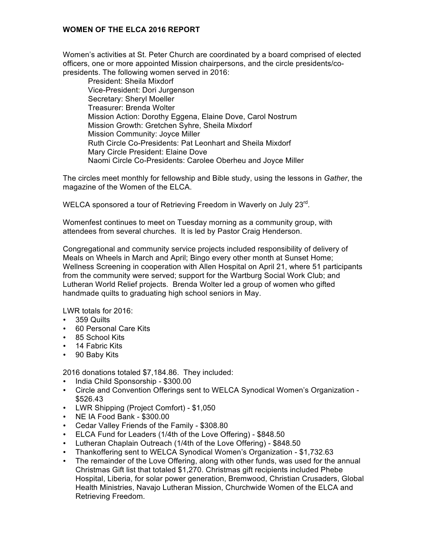## **WOMEN OF THE ELCA 2016 REPORT**

Women's activities at St. Peter Church are coordinated by a board comprised of elected officers, one or more appointed Mission chairpersons, and the circle presidents/copresidents. The following women served in 2016:

President: Sheila Mixdorf Vice-President: Dori Jurgenson Secretary: Sheryl Moeller Treasurer: Brenda Wolter Mission Action: Dorothy Eggena, Elaine Dove, Carol Nostrum Mission Growth: Gretchen Syhre, Sheila Mixdorf Mission Community: Joyce Miller Ruth Circle Co-Presidents: Pat Leonhart and Sheila Mixdorf Mary Circle President: Elaine Dove Naomi Circle Co-Presidents: Carolee Oberheu and Joyce Miller

The circles meet monthly for fellowship and Bible study, using the lessons in *Gather*, the magazine of the Women of the ELCA.

WELCA sponsored a tour of Retrieving Freedom in Waverly on July 23rd.

Womenfest continues to meet on Tuesday morning as a community group, with attendees from several churches. It is led by Pastor Craig Henderson.

Congregational and community service projects included responsibility of delivery of Meals on Wheels in March and April; Bingo every other month at Sunset Home; Wellness Screening in cooperation with Allen Hospital on April 21, where 51 participants from the community were served; support for the Wartburg Social Work Club; and Lutheran World Relief projects. Brenda Wolter led a group of women who gifted handmade quilts to graduating high school seniors in May.

LWR totals for 2016:

- 359 Quilts
- 60 Personal Care Kits
- 85 School Kits
- 14 Fabric Kits
- 90 Baby Kits

2016 donations totaled \$7,184.86. They included:

- India Child Sponsorship \$300.00
- Circle and Convention Offerings sent to WELCA Synodical Women's Organization \$526.43
- LWR Shipping (Project Comfort) \$1,050
- NE IA Food Bank \$300.00
- Cedar Valley Friends of the Family \$308.80
- ELCA Fund for Leaders (1/4th of the Love Offering) \$848.50
- Lutheran Chaplain Outreach (1/4th of the Love Offering) \$848.50
- Thankoffering sent to WELCA Synodical Women's Organization \$1,732.63
- The remainder of the Love Offering, along with other funds, was used for the annual Christmas Gift list that totaled \$1,270. Christmas gift recipients included Phebe Hospital, Liberia, for solar power generation, Bremwood, Christian Crusaders, Global Health Ministries, Navajo Lutheran Mission, Churchwide Women of the ELCA and Retrieving Freedom.